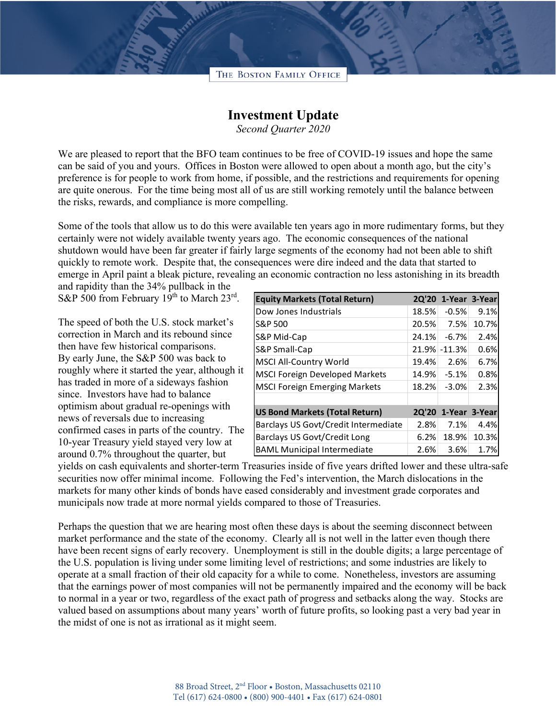## THE BOSTON FAMILY OFFICE

## **Investment Update**

*Second Quarter 2020*

We are pleased to report that the BFO team continues to be free of COVID-19 issues and hope the same can be said of you and yours. Offices in Boston were allowed to open about a month ago, but the city's preference is for people to work from home, if possible, and the restrictions and requirements for opening are quite onerous. For the time being most all of us are still working remotely until the balance between the risks, rewards, and compliance is more compelling.

Some of the tools that allow us to do this were available ten years ago in more rudimentary forms, but they certainly were not widely available twenty years ago. The economic consequences of the national shutdown would have been far greater if fairly large segments of the economy had not been able to shift quickly to remote work. Despite that, the consequences were dire indeed and the data that started to emerge in April paint a bleak picture, revealing an economic contraction no less astonishing in its breadth

and rapidity than the 34% pullback in the S&P 500 from February  $19^{th}$  to March 23<sup>rd</sup>.

The speed of both the U.S. stock market's correction in March and its rebound since then have few historical comparisons. By early June, the S&P 500 was back to roughly where it started the year, although it has traded in more of a sideways fashion since. Investors have had to balance optimism about gradual re-openings with news of reversals due to increasing confirmed cases in parts of the country. The 10-year Treasury yield stayed very low at around 0.7% throughout the quarter, but

| <b>Equity Markets (Total Return)</b>  |       | 2Q'20 1-Year 3-Year |       |
|---------------------------------------|-------|---------------------|-------|
| Dow Jones Industrials                 | 18.5% | $-0.5%$             | 9.1%  |
| S&P 500                               | 20.5% | 7.5%                | 10.7% |
| S&P Mid-Cap                           | 24.1% | $-6.7%$             | 2.4%  |
| S&P Small-Cap                         |       | 21.9% - 11.3%       | 0.6%  |
| <b>MSCI All-Country World</b>         | 19.4% | 2.6%                | 6.7%  |
| <b>MSCI Foreign Developed Markets</b> | 14.9% | $-5.1%$             | 0.8%  |
| <b>MSCI Foreign Emerging Markets</b>  | 18.2% | $-3.0%$             | 2.3%  |
|                                       |       |                     |       |
| <b>US Bond Markets (Total Return)</b> | 20'20 | 1-Year 3-Year       |       |
| Barclays US Govt/Credit Intermediate  | 2.8%  | 7.1%                | 4.4%  |
| Barclays US Govt/Credit Long          | 6.2%  | 18.9%               | 10.3% |
| <b>BAML Municipal Intermediate</b>    | 2.6%  | 3.6%                | 1.7%  |

yields on cash equivalents and shorter-term Treasuries inside of five years drifted lower and these ultra-safe securities now offer minimal income. Following the Fed's intervention, the March dislocations in the markets for many other kinds of bonds have eased considerably and investment grade corporates and municipals now trade at more normal yields compared to those of Treasuries.

Perhaps the question that we are hearing most often these days is about the seeming disconnect between market performance and the state of the economy. Clearly all is not well in the latter even though there have been recent signs of early recovery. Unemployment is still in the double digits; a large percentage of the U.S. population is living under some limiting level of restrictions; and some industries are likely to operate at a small fraction of their old capacity for a while to come. Nonetheless, investors are assuming that the earnings power of most companies will not be permanently impaired and the economy will be back to normal in a year or two, regardless of the exact path of progress and setbacks along the way. Stocks are valued based on assumptions about many years' worth of future profits, so looking past a very bad year in the midst of one is not as irrational as it might seem.